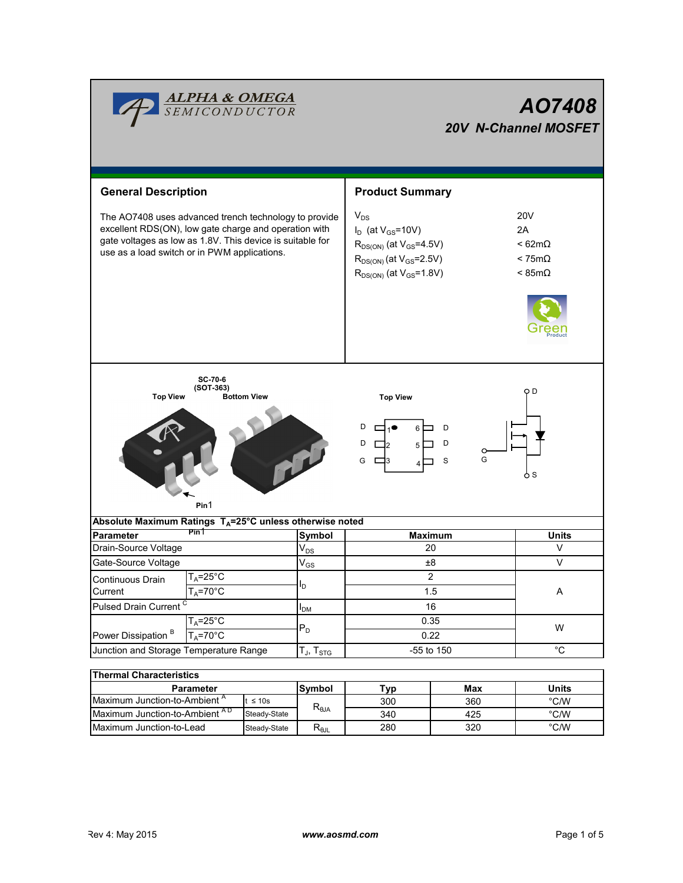

| Thermal Characteristics                   |              |                                  |     |     |               |  |  |  |  |  |  |
|-------------------------------------------|--------------|----------------------------------|-----|-----|---------------|--|--|--|--|--|--|
| <b>Parameter</b>                          |              | <b>Symbol</b>                    | W.  | Max | Units         |  |  |  |  |  |  |
| "Maximum Junction-to-Ambient"             | $\leq 10s$   |                                  | 300 | 360 | °C/W          |  |  |  |  |  |  |
| Maximum Junction-to-Ambient <sup>AD</sup> | Steady-State | $\mathsf{R}_{\theta\mathsf{JA}}$ | 340 | 425 | $\degree$ C/W |  |  |  |  |  |  |
| Maximum Junction-to-Lead                  | Steady-State | $\mathsf{R}_{\theta\mathsf{JL}}$ | 280 | 320 | $\degree$ C/W |  |  |  |  |  |  |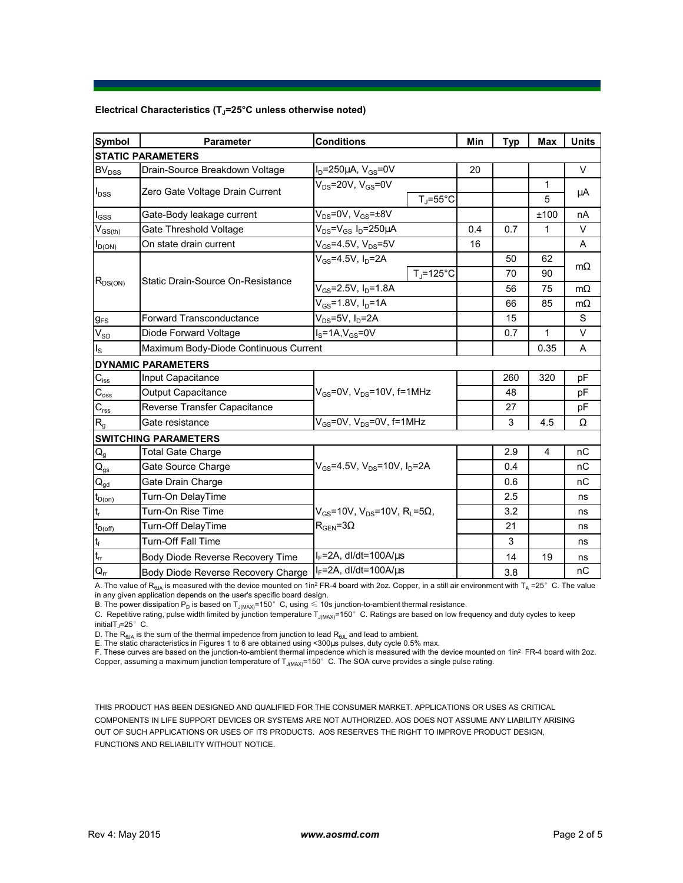## **Electrical Characteristics (TJ=25°C unless otherwise noted)**

| <b>Symbol</b>                          | <b>Parameter</b>                      | <b>Conditions</b>                                                                        |                    | Min | <b>Typ</b> | Max            | <b>Units</b> |  |  |  |  |
|----------------------------------------|---------------------------------------|------------------------------------------------------------------------------------------|--------------------|-----|------------|----------------|--------------|--|--|--|--|
| <b>STATIC PARAMETERS</b>               |                                       |                                                                                          |                    |     |            |                |              |  |  |  |  |
| BV <sub>DSS</sub>                      | Drain-Source Breakdown Voltage        | $I_D = 250 \mu A$ , $V_{GS} = 0V$                                                        |                    | 20  |            |                | $\vee$       |  |  |  |  |
| $I_{DSS}$                              | Zero Gate Voltage Drain Current       | $V_{DS}$ =20V, V $_{GS}$ =0V                                                             |                    |     |            | 1              | μA           |  |  |  |  |
|                                        |                                       | $T_{\rm J}$ =55°C                                                                        |                    |     |            | 5              |              |  |  |  |  |
| $I_{GSS}$                              | Gate-Body leakage current             | $V_{DS} = 0V$ , $V_{GS} = \pm 8V$                                                        |                    |     |            | ±100           | nA           |  |  |  |  |
| $V_{GS(th)}$                           | Gate Threshold Voltage                | $V_{DS} = V_{GS} I_D = 250 \mu A$                                                        |                    | 0.4 | 0.7        | 1              | $\vee$       |  |  |  |  |
| $I_{D(ON)}$                            | On state drain current                | $V_{GS}$ =4.5V, $V_{DS}$ =5V                                                             |                    | 16  |            |                | A            |  |  |  |  |
| $R_{DS(ON)}$                           | Static Drain-Source On-Resistance     | $V_{GS}$ =4.5V, I <sub>D</sub> =2A                                                       |                    |     | 50         | 62             | $m\Omega$    |  |  |  |  |
|                                        |                                       |                                                                                          | $T_{\rm J}$ =125°C |     | 70         | 90             |              |  |  |  |  |
|                                        |                                       | $V_{GS} = 2.5V, I_D = 1.8A$                                                              |                    |     | 56         | 75             | $m\Omega$    |  |  |  |  |
|                                        |                                       | $V_{GS} = 1.8V, I_D = 1A$                                                                |                    | 66  | 85         | $m\Omega$      |              |  |  |  |  |
| $g_{FS}$                               | Forward Transconductance              | $V_{DS}$ =5V, $I_D$ =2A                                                                  |                    |     | 15         |                | S            |  |  |  |  |
| $\rm V_{\rm SD}$                       | Diode Forward Voltage                 | $IS=1A,VGS=0V$                                                                           |                    |     | 0.7        | 1              | V            |  |  |  |  |
| $I_{\rm S}$                            | Maximum Body-Diode Continuous Current |                                                                                          |                    |     |            | 0.35           | A            |  |  |  |  |
|                                        | <b>DYNAMIC PARAMETERS</b>             |                                                                                          |                    |     |            |                |              |  |  |  |  |
| $C_{\text{iss}}$                       | Input Capacitance                     | $V_{GS}$ =0V, $V_{DS}$ =10V, f=1MHz                                                      |                    |     | 260        | 320            | pF           |  |  |  |  |
| $\overline{C_{\rm oss}}$               | Output Capacitance                    |                                                                                          |                    |     | 48         |                | рF           |  |  |  |  |
| $C_{\rm rss}$                          | Reverse Transfer Capacitance          |                                                                                          |                    |     | 27         |                | pF           |  |  |  |  |
| R <sub>g</sub>                         | Gate resistance                       | $V_{GS}$ =0V, V <sub>DS</sub> =0V, f=1MHz                                                |                    |     | 3          | 4.5            | Ω            |  |  |  |  |
|                                        | <b>SWITCHING PARAMETERS</b>           |                                                                                          |                    |     |            |                |              |  |  |  |  |
| $\mathsf{Q}_{\mathsf{g}}$              | <b>Total Gate Charge</b>              | $V_{GS}$ =4.5V, $V_{DS}$ =10V, $I_D$ =2A                                                 |                    |     | 2.9        | $\overline{4}$ | nC           |  |  |  |  |
| $Q_{gs}$                               | Gate Source Charge                    |                                                                                          |                    |     | 0.4        |                | пC           |  |  |  |  |
| $\mathsf{Q}_{\underline{\mathsf{gd}}}$ | Gate Drain Charge                     |                                                                                          |                    |     | 0.6        |                | nC           |  |  |  |  |
| $t_{D(on)}$                            | Turn-On DelayTime                     | $V_{GS}$ =10V, $V_{DS}$ =10V, R <sub>L</sub> =5 $\Omega$ ,<br>$R_{\text{GEN}} = 3\Omega$ |                    |     | 2.5        |                | ns           |  |  |  |  |
| $\mathfrak{t}_{\mathsf{r}}$            | Turn-On Rise Time                     |                                                                                          |                    |     | 3.2        |                | ns           |  |  |  |  |
| $t_{D(\underbar{off})}$                | <b>Turn-Off DelayTime</b>             |                                                                                          |                    |     | 21         |                | ns           |  |  |  |  |
| $\mathsf{t}_{\mathsf{f}}$              | Turn-Off Fall Time                    |                                                                                          |                    |     | 3          |                | ns           |  |  |  |  |
| $\mathfrak{t}_{\text{rr}}$             | Body Diode Reverse Recovery Time      | $I_F = 2A$ , dl/dt=100A/ $\mu$ s                                                         |                    |     | 14         | 19             | ns           |  |  |  |  |
| $Q_{rr}$                               | Body Diode Reverse Recovery Charge    | $I_F = 2A$ , dl/dt=100A/ $\mu$ s                                                         |                    |     | 3.8        |                | nC           |  |  |  |  |

A. The value of R<sub>θJA</sub> is measured with the device mounted on 1in<sup>2</sup> FR-4 board with 2oz. Copper, in a still air environment with T<sub>A</sub> =25°C. The value

in any given application depends on the user's specific board design.<br>B. The power dissipation P<sub>D</sub> is based on T<sub>J(MAX)</sub>=150°C, using ≤ 10s junction-to-ambient thermal resistance.

C. Repetitive rating, pulse width limited by junction temperature  $T_{J(MAX)}$ =150°C. Ratings are based on low frequency and duty cycles to keep initialT $_1$ =25° C.

D. The  $R_{\theta JA}$  is the sum of the thermal impedence from junction to lead  $R_{\theta JL}$  and lead to ambient.

E. The static characteristics in Figures 1 to 6 are obtained using <300µs pulses, duty cycle 0.5% max.

F. These curves are based on the junction-to-ambient thermal impedence which is measured with the device mounted on 1in<sup>2</sup> FR-4 board with 2oz. Copper, assuming a maximum junction temperature of  $T_{J(MAX)}$ =150°C. The SOA curve provides a single pulse rating.

THIS PRODUCT HAS BEEN DESIGNED AND QUALIFIED FOR THE CONSUMER MARKET. APPLICATIONS OR USES AS CRITICAL COMPONENTS IN LIFE SUPPORT DEVICES OR SYSTEMS ARE NOT AUTHORIZED. AOS DOES NOT ASSUME ANY LIABILITY ARISING OUT OF SUCH APPLICATIONS OR USES OF ITS PRODUCTS. AOS RESERVES THE RIGHT TO IMPROVE PRODUCT DESIGN, FUNCTIONS AND RELIABILITY WITHOUT NOTICE.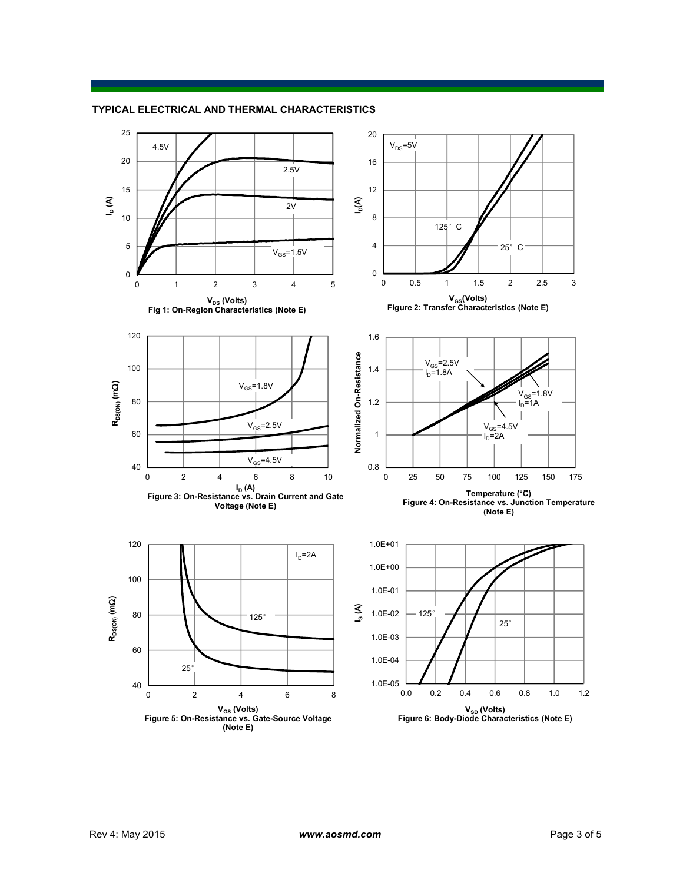

## **TYPICAL ELECTRICAL AND THERMAL CHARACTERISTICS**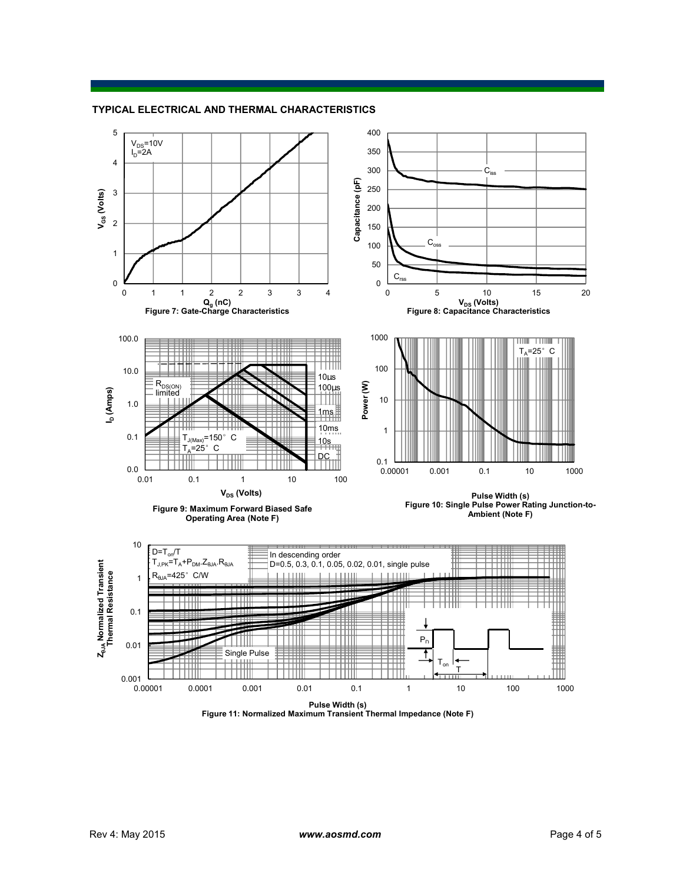

#### **TYPICAL ELECTRICAL AND THERMAL CHARACTERISTICS**

**Figure 11: Normalized Maximum Transient Thermal Impedance (Note F)**